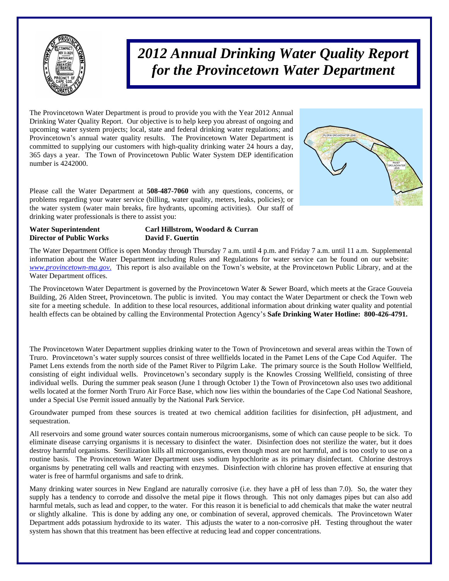

# *2012 Annual Drinking Water Quality Report for the Provincetown Water Department*

The Provincetown Water Department is proud to provide you with the Year 2012 Annual Drinking Water Quality Report. Our objective is to help keep you abreast of ongoing and upcoming water system projects; local, state and federal drinking water regulations; and Provincetown's annual water quality results. The Provincetown Water Department is committed to supplying our customers with high-quality drinking water 24 hours a day, 365 days a year. The Town of Provincetown Public Water System DEP identification number is 4242000.

Please call the Water Department at **508-487-7060** with any questions, concerns, or problems regarding your water service (billing, water quality, meters, leaks, policies); or the water system (water main breaks, fire hydrants, upcoming activities). Our staff of drinking water professionals is there to assist you:

#### **Water Superintendent Carl Hillstrom, Woodard & Curran Director of Public Works David F. Guertin**

The Water Department Office is open Monday through Thursday 7 a.m. until 4 p.m. and Friday 7 a.m. until 11 a.m. Supplemental information about the Water Department including Rules and Regulations for water service can be found on our website: *[www.provincetown-ma.gov](http://www.provincetowngov.org)*. This report is also available on the Town's website, at the Provincetown Public Library, and at the Water Department offices.

The Provincetown Water Department is governed by the Provincetown Water & Sewer Board, which meets at the Grace Gouveia Building, 26 Alden Street, Provincetown. The public is invited. You may contact the Water Department or check the Town web site for a meeting schedule. In addition to these local resources, additional information about drinking water quality and potential health effects can be obtained by calling the Environmental Protection Agency's **Safe Drinking Water Hotline: 800-426-4791.**

The Provincetown Water Department supplies drinking water to the Town of Provincetown and several areas within the Town of Truro. Provincetown's water supply sources consist of three wellfields located in the Pamet Lens of the Cape Cod Aquifer. The Pamet Lens extends from the north side of the Pamet River to Pilgrim Lake. The primary source is the South Hollow Wellfield, consisting of eight individual wells. Provincetown's secondary supply is the Knowles Crossing Wellfield, consisting of three individual wells. During the summer peak season (June 1 through October 1) the Town of Provincetown also uses two additional wells located at the former North Truro Air Force Base, which now lies within the boundaries of the Cape Cod National Seashore, under a Special Use Permit issued annually by the National Park Service.

Groundwater pumped from these sources is treated at two chemical addition facilities for disinfection, pH adjustment, and sequestration.

All reservoirs and some ground water sources contain numerous microorganisms, some of which can cause people to be sick. To eliminate disease carrying organisms it is necessary to disinfect the water. Disinfection does not sterilize the water, but it does destroy harmful organisms. Sterilization kills all microorganisms, even though most are not harmful, and is too costly to use on a routine basis. The Provincetown Water Department uses sodium hypochlorite as its primary disinfectant. Chlorine destroys organisms by penetrating cell walls and reacting with enzymes. Disinfection with chlorine has proven effective at ensuring that water is free of harmful organisms and safe to drink.

Many drinking water sources in New England are naturally corrosive (i.e. they have a pH of less than 7.0). So, the water they supply has a tendency to corrode and dissolve the metal pipe it flows through. This not only damages pipes but can also add harmful metals, such as lead and copper, to the water. For this reason it is beneficial to add chemicals that make the water neutral or slightly alkaline. This is done by adding any one, or combination of several, approved chemicals. The Provincetown Water Department adds potassium hydroxide to its water. This adjusts the water to a non-corrosive pH. Testing throughout the water system has shown that this treatment has been effective at reducing lead and copper concentrations.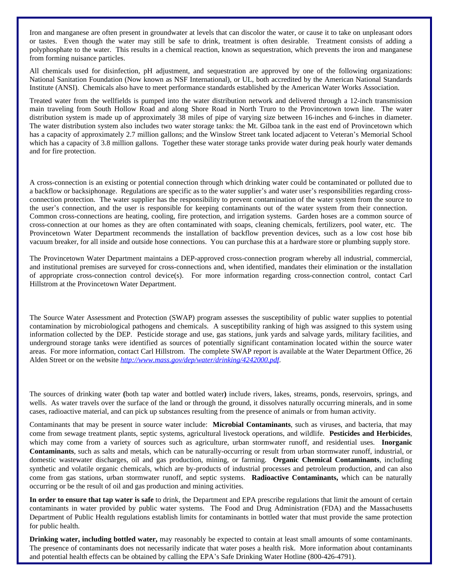Iron and manganese are often present in groundwater at levels that can discolor the water, or cause it to take on unpleasant odors or tastes. Even though the water may still be safe to drink, treatment is often desirable. Treatment consists of adding a polyphosphate to the water. This results in a chemical reaction, known as sequestration, which prevents the iron and manganese from forming nuisance particles.

All chemicals used for disinfection, pH adjustment, and sequestration are approved by one of the following organizations: National Sanitation Foundation (Now known as NSF International), or UL, both accredited by the American National Standards Institute (ANSI). Chemicals also have to meet performance standards established by the American Water Works Association.

Treated water from the wellfields is pumped into the water distribution network and delivered through a 12-inch transmission main traveling from South Hollow Road and along Shore Road in North Truro to the Provincetown town line. The water distribution system is made up of approximately 38 miles of pipe of varying size between 16-inches and 6-inches in diameter. The water distribution system also includes two water storage tanks: the Mt. Gilboa tank in the east end of Provincetown which has a capacity of approximately 2.7 million gallons; and the Winslow Street tank located adjacent to Veteran's Memorial School which has a capacity of 3.8 million gallons. Together these water storage tanks provide water during peak hourly water demands and for fire protection.

A cross-connection is an existing or potential connection through which drinking water could be contaminated or polluted due to a backflow or backsiphonage. Regulations are specific as to the water supplier's and water user's responsibilities regarding crossconnection protection. The water supplier has the responsibility to prevent contamination of the water system from the source to the user's connection, and the user is responsible for keeping contaminants out of the water system from their connection. Common cross-connections are heating, cooling, fire protection, and irrigation systems. Garden hoses are a common source of cross-connection at our homes as they are often contaminated with soaps, cleaning chemicals, fertilizers, pool water, etc. The Provincetown Water Department recommends the installation of backflow prevention devices, such as a low cost hose bib vacuum breaker, for all inside and outside hose connections. You can purchase this at a hardware store or plumbing supply store.

The Provincetown Water Department maintains a DEP-approved cross-connection program whereby all industrial, commercial, and institutional premises are surveyed for cross-connections and, when identified, mandates their elimination or the installation of appropriate cross-connection control device(s). For more information regarding cross-connection control, contact Carl Hillstrom at the Provincetown Water Department.

The Source Water Assessment and Protection (SWAP) program assesses the susceptibility of public water supplies to potential contamination by microbiological pathogens and chemicals. A susceptibility ranking of high was assigned to this system using information collected by the DEP. Pesticide storage and use, gas stations, junk yards and salvage yards, military facilities, and underground storage tanks were identified as sources of potentially significant contamination located within the source water areas. For more information, contact Carl Hillstrom. The complete SWAP report is available at the Water Department Office, 26 Alden Street or on the website *<http://www.mass.gov/dep/water/drinking/4242000.pdf>*.

The sources of drinking water **(**both tap water and bottled water**)** include rivers, lakes, streams, ponds, reservoirs, springs, and wells. As water travels over the surface of the land or through the ground, it dissolves naturally occurring minerals, and in some cases, radioactive material, and can pick up substances resulting from the presence of animals or from human activity.

Contaminants that may be present in source water include: **Microbial Contaminants**, such as viruses, and bacteria, that may come from sewage treatment plants, septic systems, agricultural livestock operations, and wildlife. **Pesticides and Herbicides**, which may come from a variety of sources such as agriculture, urban stormwater runoff, and residential uses. **Inorganic Contaminants**, such as salts and metals, which can be naturally-occurring or result from urban stormwater runoff, industrial, or domestic wastewater discharges, oil and gas production, mining, or farming. **Organic Chemical Contaminants**, including synthetic and volatile organic chemicals, which are by-products of industrial processes and petroleum production, and can also come from gas stations, urban stormwater runoff, and septic systems. **Radioactive Contaminants,** which can be naturally occurring or be the result of oil and gas production and mining activities.

**In order to ensure that tap water is safe** to drink, the Department and EPA prescribe regulations that limit the amount of certain contaminants in water provided by public water systems. The Food and Drug Administration (FDA) and the Massachusetts Department of Public Health regulations establish limits for contaminants in bottled water that must provide the same protection for public health.

**Drinking water, including bottled water,** may reasonably be expected to contain at least small amounts of some contaminants. The presence of contaminants does not necessarily indicate that water poses a health risk. More information about contaminants and potential health effects can be obtained by calling the EPA's Safe Drinking Water Hotline (800-426-4791).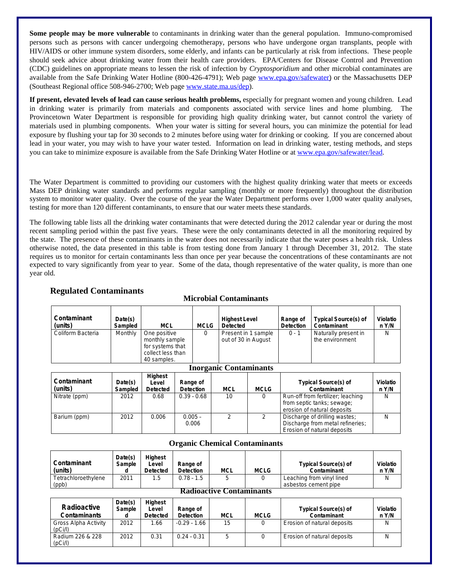**Some people may be more vulnerable** to contaminants in drinking water than the general population. Immuno-compromised persons such as persons with cancer undergoing chemotherapy, persons who have undergone organ transplants, people with HIV/AIDS or other immune system disorders, some elderly, and infants can be particularly at risk from infections. These people should seek advice about drinking water from their health care providers. EPA/Centers for Disease Control and Prevention (CDC) guidelines on appropriate means to lessen the risk of infection by *Cryptosporidium* and other microbial contaminates are available from the Safe Drinking Water Hotline (800-426-4791); Web page [www.epa.gov/safewater\)](http://www.epa.gov/safewater) or the Massachusetts DEP (Southeast Regional office 508-946-2700; Web page [www.state.ma.us/dep\)](http://www.state.ma.us/dep).

**If present, elevated levels of lead can cause serious health problems,** especially for pregnant women and young children. Lead in drinking water is primarily from materials and components associated with service lines and home plumbing. The Provincetown Water Department is responsible for providing high quality drinking water, but cannot control the variety of materials used in plumbing components. When your water is sitting for several hours, you can minimize the potential for lead exposure by flushing your tap for 30 seconds to 2 minutes before using water for drinking or cooking. If you are concerned about lead in your water, you may wish to have your water tested. Information on lead in drinking water, testing methods, and steps you can take to minimize exposure is available from the Safe Drinking Water Hotline or at [www.epa.gov/safewater/lead.](http://www.epa.gov/safewater/lead)

The Water Department is committed to providing our customers with the highest quality drinking water that meets or exceeds Mass DEP drinking water standards and performs regular sampling (monthly or more frequently) throughout the distribution system to monitor water quality. Over the course of the year the Water Department performs over 1,000 water quality analyses, testing for more than 120 different contaminants, to ensure that our water meets these standards.

The following table lists all the drinking water contaminants that were detected during the 2012 calendar year or during the most recent sampling period within the past five years. These were the only contaminants detected in all the monitoring required by the state. The presence of these contaminants in the water does not necessarily indicate that the water poses a health risk. Unless otherwise noted, the data presented in this table is from testing done from January 1 through December 31, 2012. The state requires us to monitor for certain contaminants less than once per year because the concentrations of these contaminants are not expected to vary significantly from year to year. Some of the data, though representative of the water quality, is more than one year old.

| Contaminant<br>(units) | Date(s)<br>Sampled | <b>MCL</b>                                                                             | MCLG | <b>Highest Level</b><br><b>Detected</b>    | Range of<br><b>Detection</b> | <b>Typical Source(s) of</b><br>Contaminant | Violatio<br>n Y/N |
|------------------------|--------------------|----------------------------------------------------------------------------------------|------|--------------------------------------------|------------------------------|--------------------------------------------|-------------------|
| Coliform Bacteria      | Monthly            | One positive<br>monthly sample<br>for systems that<br>collect less than<br>40 samples. |      | Present in 1 sample<br>out of 30 in August | $0 - 1$                      | Naturally present in<br>the environment    | N                 |

## **Regulated Contaminants**

Radium 226 & 228

(pCi/l)

| <b>Inorganic Contaminants</b> |                    |                                     |                              |            |             |                                                                                                                                 |                   |  |  |
|-------------------------------|--------------------|-------------------------------------|------------------------------|------------|-------------|---------------------------------------------------------------------------------------------------------------------------------|-------------------|--|--|
| Contaminant<br>(units)        | Date(s)<br>Sampled | Highest<br>Level<br><b>Detected</b> | Range of<br><b>Detection</b> | <b>MCL</b> | <b>MCLG</b> | <b>Typical Source(s) of</b><br>Contaminant                                                                                      | Violatio<br>n Y/N |  |  |
| Nitrate (ppm)                 | 2012               | 0.68                                | $0.39 - 0.68$                | 10         |             | Run-off from fertilizer; leaching<br>from septic tanks; sewage;                                                                 | N                 |  |  |
| Barium (ppm)                  | 2012               | 0.006                               | $0.005 -$<br>0.006           | ◠          |             | erosion of natural deposits<br>Discharge of drilling wastes;<br>Discharge from metal refineries;<br>Erosion of natural deposits | N                 |  |  |

# **Microbial Contaminants**

#### **Organic Chemical Contaminants**

| Contaminant<br>(units)                       | Date(s)<br>Sample<br>a | <b>Highest</b><br>Level<br><b>Detected</b> | Range of<br><b>Detection</b> | <b>MCL</b>                      | <b>MCLG</b> | <b>Typical Source(s) of</b><br>Contaminant | <b>Violatio</b><br>n Y/N |
|----------------------------------------------|------------------------|--------------------------------------------|------------------------------|---------------------------------|-------------|--------------------------------------------|--------------------------|
| Tetrachloroethylene                          | 2011                   | 1.5                                        | $0.78 - 1.5$                 | 5                               |             | Leaching from vinyl lined                  | N                        |
| (ppb)                                        |                        |                                            |                              |                                 |             | asbestos cement pipe                       |                          |
|                                              |                        |                                            |                              | <b>Radioactive Contaminants</b> |             |                                            |                          |
| Radioactive<br><b>Contaminants</b>           | Date(s)<br>Sample      | <b>Highest</b><br>Level<br><b>Detected</b> | Range of<br><b>Detection</b> | <b>MCL</b>                      | <b>MCLG</b> | <b>Typical Source(s) of</b><br>Contaminant | <b>Violatio</b><br>n Y/N |
| Gross Alpha Activity<br>(pC <sub>i</sub> /I) | 2012                   | 1.66                                       | $-0.29 - 1.66$               | 15                              | ი           | Erosion of natural deposits                | N                        |

2012 0.31 0.24 - 0.31 5 0 Erosion of natural deposits N